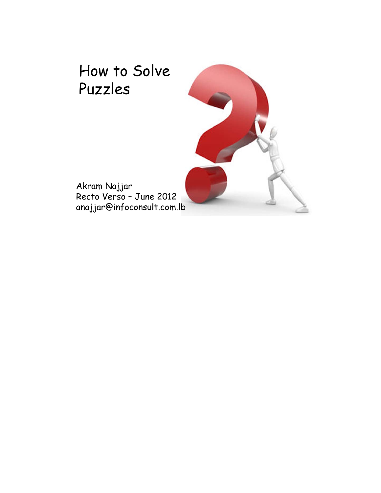

 $1.1 1.2$ 

Akram Najjar Recto Verso – June 2012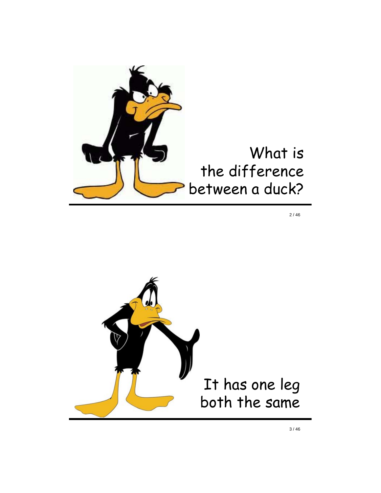

 $2/46$ 

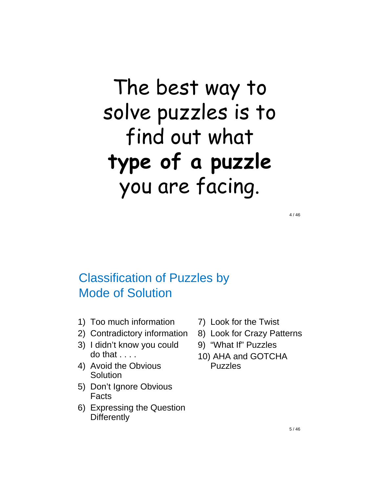# The best way to solve puzzles is to find out what **type of a puzzle**  you are facing.

Classification of Puzzles by Mode of Solution

- 1) Too much information
- 2) Contradictory information
- 3) I didn't know you could  $d$ o that  $\ldots$ .
- 4) Avoid the Obvious **Solution**
- 5) Don't Ignore Obvious Facts
- 6) Expressing the Question **Differently**
- 7) Look for the Twist
- 8) Look for Crazy Patterns
- 9) "What If" Puzzles
- 10) AHA and GOTCHA Puzzles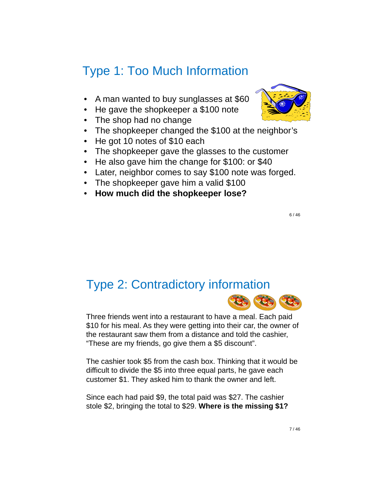#### Type 1: Too Much Information

- A man wanted to buy sunglasses at \$60
- He gave the shopkeeper a \$100 note
- The shop had no change
- The shopkeeper changed the \$100 at the neighbor's
- He got 10 notes of \$10 each
- The shopkeeper gave the glasses to the customer
- He also gave him the change for \$100: or \$40
- Later, neighbor comes to say \$100 note was forged.
- The shopkeeper gave him a valid \$100
- **How much did the shopkeeper lose?**

6 / 46

#### Type 2: Contradictory information



Three friends went into a restaurant to have a meal. Each paid \$10 for his meal. As they were getting into their car, the owner of the restaurant saw them from a distance and told the cashier, "These are my friends, go give them a \$5 discount".

The cashier took \$5 from the cash box. Thinking that it would be difficult to divide the \$5 into three equal parts, he gave each customer \$1. They asked him to thank the owner and left.

Since each had paid \$9, the total paid was \$27. The cashier stole \$2, bringing the total to \$29. **Where is the missing \$1?**

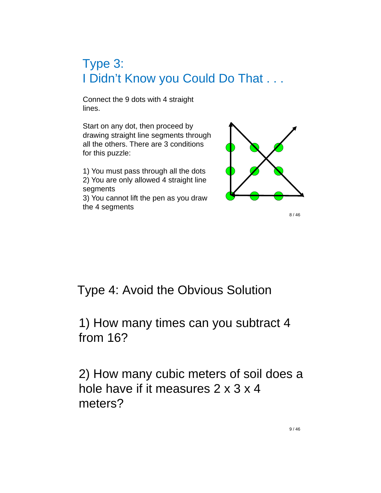### Type 3: I Didn't Know you Could Do That . . .

Connect the 9 dots with 4 straight lines.

Start on any dot, then proceed by drawing straight line segments through all the others. There are 3 conditions for this puzzle:

1) You must pass through all the dots 2) You are only allowed 4 straight line segments

3) You cannot lift the pen as you draw the 4 segments



8 / 46

#### Type 4: Avoid the Obvious Solution

1) How many times can you subtract 4 from 16?

2) How many cubic meters of soil does a hole have if it measures 2 x 3 x 4 meters?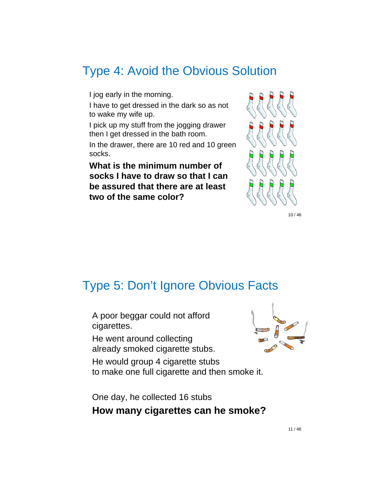#### Type 4: Avoid the Obvious Solution

I jog early in the morning.

 I have to get dressed in the dark so as not to wake my wife up.

 I pick up my stuff from the jogging drawer then I get dressed in the bath room.

 In the drawer, there are 10 red and 10 green socks.

 **What is the minimum number of socks I have to draw so that I can be assured that there are at least two of the same color?**



10 / 46

#### Type 5: Don't Ignore Obvious Facts

 A poor beggar could not afford cigarettes.

 He went around collecting already smoked cigarette stubs.

 He would group 4 cigarette stubs to make one full cigarette and then smoke it.



 One day, he collected 16 stubs **How many cigarettes can he smoke?**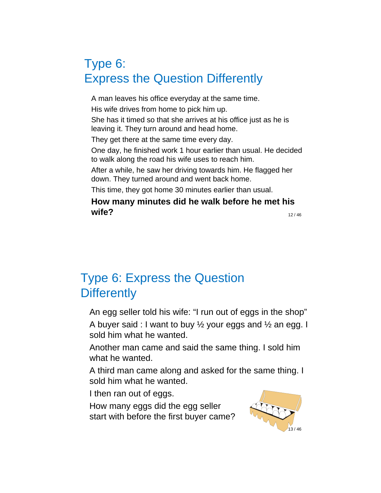#### Type 6: Express the Question Differently

 A man leaves his office everyday at the same time. His wife drives from home to pick him up.

 She has it timed so that she arrives at his office just as he is leaving it. They turn around and head home.

They get there at the same time every day.

 One day, he finished work 1 hour earlier than usual. He decided to walk along the road his wife uses to reach him.

 After a while, he saw her driving towards him. He flagged her down. They turned around and went back home.

This time, they got home 30 minutes earlier than usual.

#### 12 / 46 **How many minutes did he walk before he met his wife?**

#### Type 6: Express the Question **Differently**

An egg seller told his wife: "I run out of eggs in the shop"

A buyer said : I want to buy  $\frac{1}{2}$  your eggs and  $\frac{1}{2}$  an egg. I sold him what he wanted.

 Another man came and said the same thing. I sold him what he wanted.

 A third man came along and asked for the same thing. I sold him what he wanted.

I then ran out of eggs.

 How many eggs did the egg seller start with before the first buyer came?

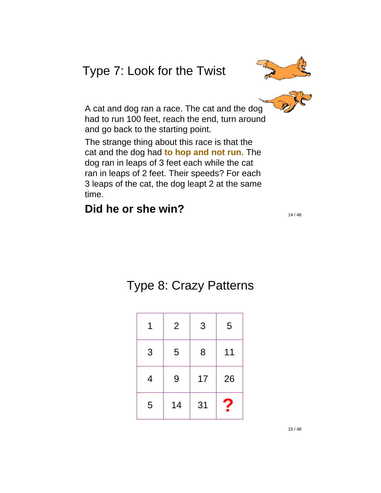#### Type 7: Look for the Twist



 A cat and dog ran a race. The cat and the dog had to run 100 feet, reach the end, turn around and go back to the starting point.

 The strange thing about this race is that the cat and the dog had **to hop and not run**. The dog ran in leaps of 3 feet each while the cat ran in leaps of 2 feet. Their speeds? For each 3 leaps of the cat, the dog leapt 2 at the same time.

#### **Did he or she win?**

14 / 46

### Type 8: Crazy Patterns

|   | $\overline{2}$ | 3  | 5  |
|---|----------------|----|----|
| 3 | 5              | 8  | 11 |
| 4 | 9              | 17 | 26 |
| 5 | 14             | 31 | 7  |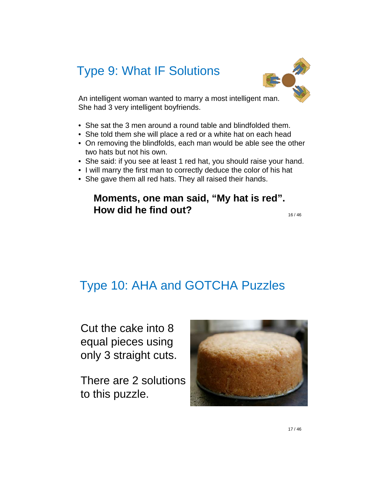#### Type 9: What IF Solutions



An intelligent woman wanted to marry a most intelligent man. She had 3 very intelligent boyfriends.

- She sat the 3 men around a round table and blindfolded them.
- She told them she will place a red or a white hat on each head
- On removing the blindfolds, each man would be able see the other two hats but not his own.
- She said: if you see at least 1 red hat, you should raise your hand.
- I will marry the first man to correctly deduce the color of his hat
- She gave them all red hats. They all raised their hands.

#### **Moments, one man said, "My hat is red". How did he find out?**

16 / 46

#### Type 10: AHA and GOTCHA Puzzles

Cut the cake into 8 equal pieces using only 3 straight cuts.

There are 2 solutions to this puzzle.

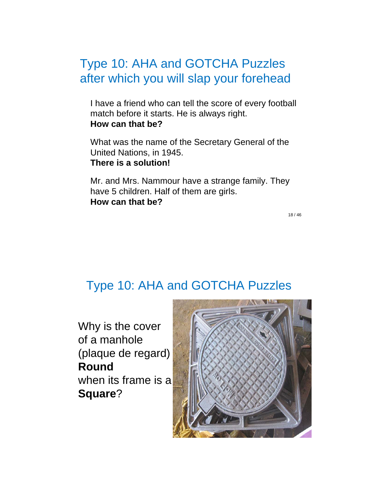#### Type 10: AHA and GOTCHA Puzzles after which you will slap your forehead

 I have a friend who can tell the score of every football match before it starts. He is always right. **How can that be?**

 What was the name of the Secretary General of the United Nations, in 1945. **There is a solution!**

 Mr. and Mrs. Nammour have a strange family. They have 5 children. Half of them are girls. **How can that be?**

18 / 46

#### Type 10: AHA and GOTCHA Puzzles

Why is the cover of a manhole (plaque de regard) **Round** when its frame is a **Square**?

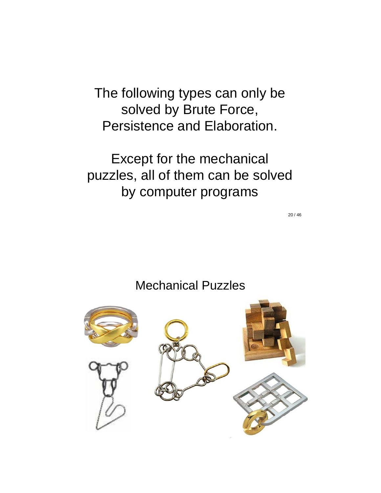The following types can only be solved by Brute Force, Persistence and Elaboration.

Except for the mechanical puzzles, all of them can be solved by computer programs

20 / 46

#### Mechanical Puzzles

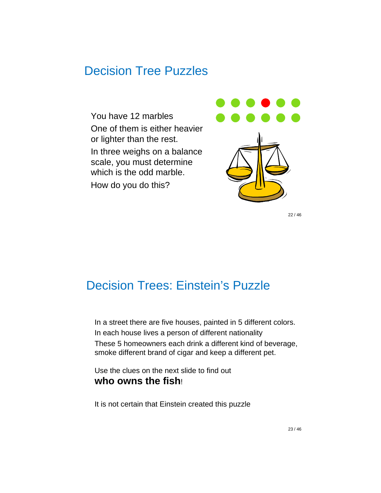#### Decision Tree Puzzles

 You have 12 marbles One of them is either heavier or lighter than the rest. In three weighs on a balance scale, you must determine which is the odd marble. How do you do this?





22 / 46

#### Decision Trees: Einstein's Puzzle

 In a street there are five houses, painted in 5 different colors. In each house lives a person of different nationality These 5 homeowners each drink a different kind of beverage, smoke different brand of cigar and keep a different pet.

Use the clues on the next slide to find out **who owns the fish**!

It is not certain that Einstein created this puzzle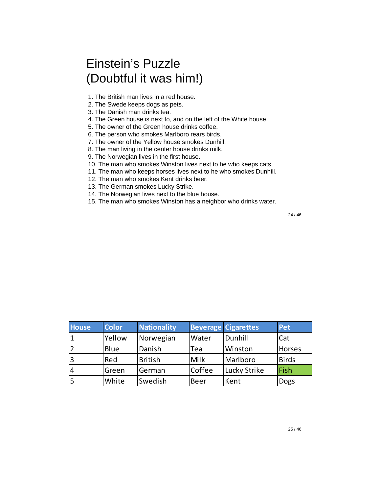#### Einstein's Puzzle (Doubtful it was him!)

- 1. The British man lives in a red house.
- 2. The Swede keeps dogs as pets.
- 3. The Danish man drinks tea.
- 4. The Green house is next to, and on the left of the White house.
- 5. The owner of the Green house drinks coffee.
- 6. The person who smokes Marlboro rears birds.
- 7. The owner of the Yellow house smokes Dunhill.
- 8. The man living in the center house drinks milk.
- 9. The Norwegian lives in the first house.
- 10. The man who smokes Winston lives next to he who keeps cats.
- 11. The man who keeps horses lives next to he who smokes Dunhill.
- 12. The man who smokes Kent drinks beer.
- 13. The German smokes Lucky Strike.
- 14. The Norwegian lives next to the blue house.
- 15. The man who smokes Winston has a neighbor who drinks water.

| <b>House</b>   | <b>Color</b> | Nationality    |        | <b>Beverage Cigarettes</b> | Pet           |
|----------------|--------------|----------------|--------|----------------------------|---------------|
|                | Yellow       | Norwegian      | Water  | Dunhill                    | Cat           |
|                | Blue         | Danish         | Tea    | Winston                    | <b>Horses</b> |
| $\overline{3}$ | Red          | <b>British</b> | Milk   | Marlboro                   | <b>Birds</b>  |
| $\overline{4}$ | Green        | German         | Coffee | Lucky Strike               | Fish          |
| -5             | White        | Swedish        | Beer   | Kent                       | <b>Dogs</b>   |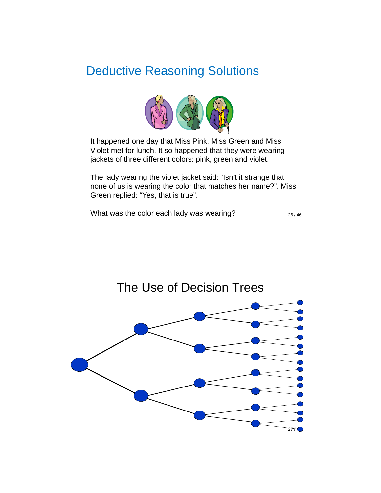#### Deductive Reasoning Solutions



It happened one day that Miss Pink, Miss Green and Miss Violet met for lunch. It so happened that they were wearing jackets of three different colors: pink, green and violet.

The lady wearing the violet jacket said: "Isn't it strange that none of us is wearing the color that matches her name?". Miss Green replied: "Yes, that is true".

What was the color each lady was wearing?

26 / 46

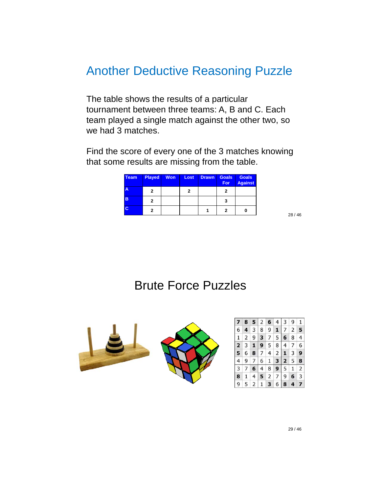#### Another Deductive Reasoning Puzzle

The table shows the results of a particular tournament between three teams: A, B and C. Each team played a single match against the other two, so we had 3 matches.

Find the score of every one of the 3 matches knowing that some results are missing from the table.

| <b>Team</b> | <b>Played</b> | <b>Won</b> | Lost | <b>Drawn</b> | <b>Goals</b><br><b>For</b> | <b>Goals</b><br><b>Against</b> |
|-------------|---------------|------------|------|--------------|----------------------------|--------------------------------|
| A           | 2             |            | 2    |              | 2                          |                                |
| B           | 2             |            |      |              | 3                          |                                |
| C           | 2             |            |      |              | 2                          |                                |

28 / 46

#### Brute Force Puzzles

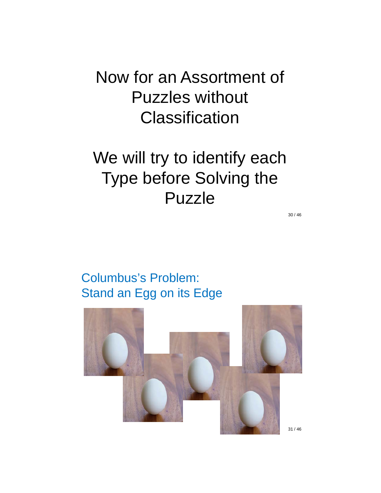Now for an Assortment of Puzzles without **Classification** 

### We will try to identify each Type before Solving the Puzzle

30 / 46

Columbus's Problem: Stand an Egg on its Edge

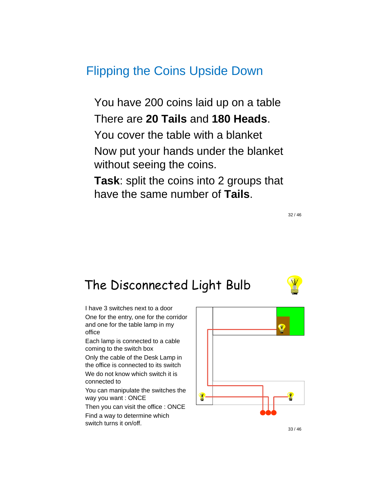#### Flipping the Coins Upside Down

 You have 200 coins laid up on a table There are **20 Tails** and **180 Heads**. You cover the table with a blanket

 Now put your hands under the blanket without seeing the coins.

 **Task**: split the coins into 2 groups that have the same number of **Tails**.

The Disconnected Light Bulb

 I have 3 switches next to a door One for the entry, one for the corridor and one for the table lamp in my office

 Each lamp is connected to a cable coming to the switch box

 Only the cable of the Desk Lamp in the office is connected to its switch

We do not know which switch it is connected to

 You can manipulate the switches the way you want : ONCE

Then you can visit the office : ONCE

 Find a way to determine which switch turns it on/off.





33 / 46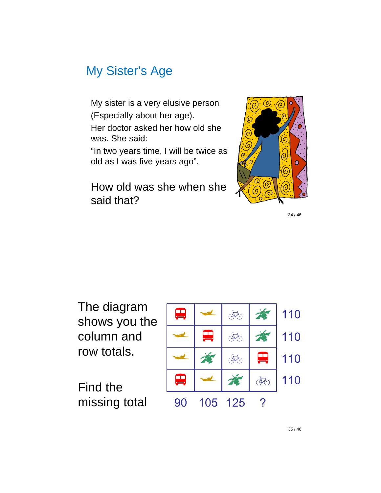#### My Sister's Age

 My sister is a very elusive person (Especially about her age). Her doctor asked her how old she was. She said:

 "In two years time, I will be twice as old as I was five years ago".

 How old was she when she said that?



34 / 46

The diagram shows you the column and row totals.

Find the missing total

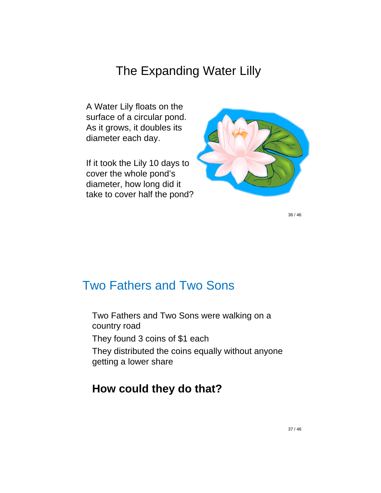#### The Expanding Water Lilly

A Water Lily floats on the surface of a circular pond. As it grows, it doubles its diameter each day.

If it took the Lily 10 days to cover the whole pond's diameter, how long did it take to cover half the pond?



36 / 46

#### Two Fathers and Two Sons

 Two Fathers and Two Sons were walking on a country road They found 3 coins of \$1 each They distributed the coins equally without anyone getting a lower share

#### **How could they do that?**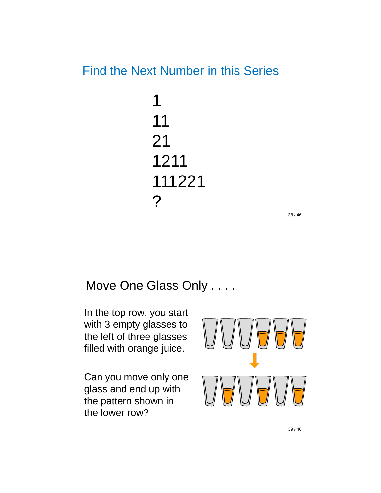#### Find the Next Number in this Series

1 11 21 1211 111221 ?

38 / 46

#### Move One Glass Only . . . .

 In the top row, you start with 3 empty glasses to the left of three glasses filled with orange juice.

 Can you move only one glass and end up with the pattern shown in the lower row?

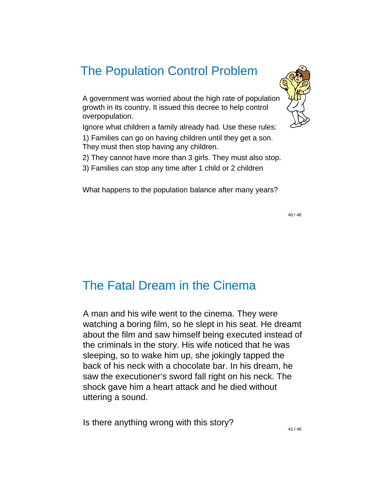#### The Population Control Problem

A government was worried about the high rate of population growth in its country. It issued this decree to help control overpopulation.

Ignore what children a family already had. Use these rules:

1) Families can go on having children until they get a son. They must then stop having any children.

2) They cannot have more than 3 girls. They must also stop.

3) Families can stop any time after 1 child or 2 children

What happens to the population balance after many years?

40 / 46

#### The Fatal Dream in the Cinema

A man and his wife went to the cinema. They were watching a boring film, so he slept in his seat. He dreamt about the film and saw himself being executed instead of the criminals in the story. His wife noticed that he was sleeping, so to wake him up, she jokingly tapped the back of his neck with a chocolate bar. In his dream, he saw the executioner's sword fall right on his neck. The shock gave him a heart attack and he died without uttering a sound.

Is there anything wrong with this story?



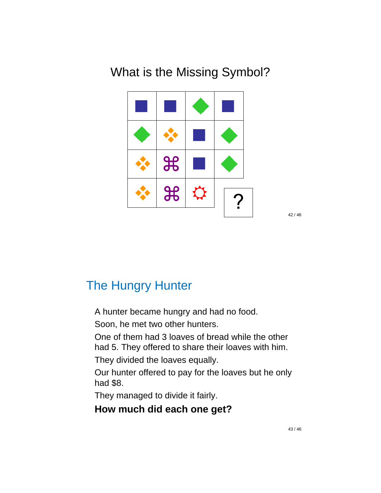#### What is the Missing Symbol?



42 / 46

#### The Hungry Hunter

A hunter became hungry and had no food.

Soon, he met two other hunters.

 One of them had 3 loaves of bread while the other had 5. They offered to share their loaves with him.

They divided the loaves equally.

 Our hunter offered to pay for the loaves but he only had \$8.

They managed to divide it fairly.

#### **How much did each one get?**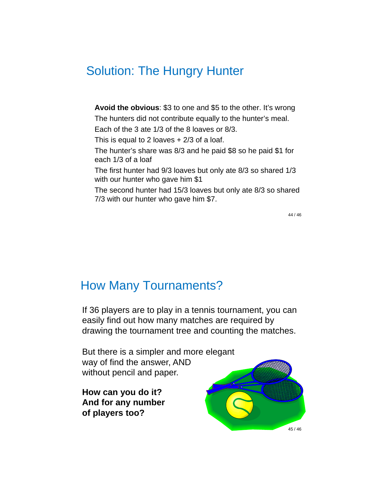#### Solution: The Hungry Hunter

 **Avoid the obvious**: \$3 to one and \$5 to the other. It's wrong The hunters did not contribute equally to the hunter's meal. Each of the 3 ate 1/3 of the 8 loaves or 8/3. This is equal to 2 loaves  $+2/3$  of a loaf. The hunter's share was 8/3 and he paid \$8 so he paid \$1 for each 1/3 of a loaf The first hunter had 9/3 loaves but only ate 8/3 so shared 1/3 with our hunter who gave him \$1 The second hunter had 15/3 loaves but only ate 8/3 so shared

7/3 with our hunter who gave him \$7.

44 / 46

#### How Many Tournaments?

If 36 players are to play in a tennis tournament, you can easily find out how many matches are required by drawing the tournament tree and counting the matches.

But there is a simpler and more elegant way of find the answer, AND without pencil and paper.

**How can you do it? And for any number of players too?**